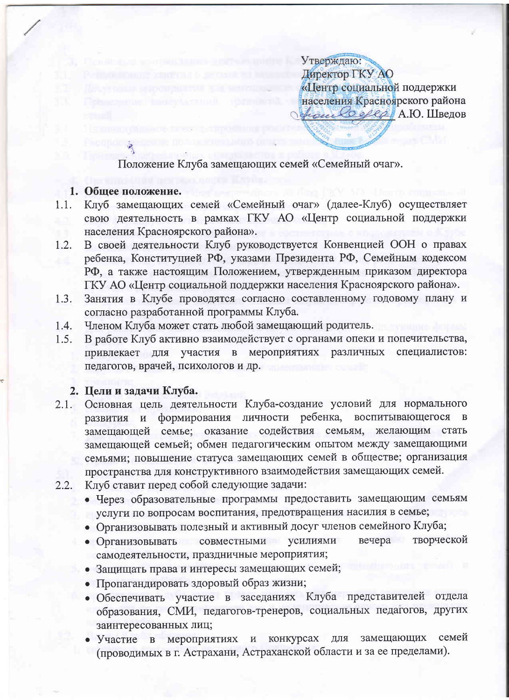Утверждаю: Директор ГКУ АО «Центр социальной поддержки населения Красноярского района france Offer A.O. Швелов

Положение Клуба замещающих семей «Семейный очаг».

#### 1. Общее положение.

- Клуб замещающих семей «Семейный очаг» (далее-Клуб) осуществляет 1.1. свою деятельность в рамках ГКУ АО «Центр социальной поддержки населения Красноярского района».
- В своей деятельности Клуб руководствуется Конвенцией ООН о правах  $1.2.$ ребенка, Конституцией РФ, указами Президента РФ, Семейным кодексом РФ, а также настоящим Положением, утвержденным приказом директора ГКУ АО «Центр социальной поддержки населения Красноярского района».
- Занятия в Клубе проводятся согласно составленному годовому плану и  $1.3.$ согласно разработанной программы Клуба.
- Членом Клуба может стать любой замещающий родитель.  $1.4.$
- В работе Клуб активно взаимодействует с органами опеки и попечительства,  $1.5.$ привлекает для участия в мероприятиях различных специалистов: педагогов, врачей, психологов и др.

#### 2. Цели и задачи Клуба.

- Основная цель деятельности Клуба-создание условий для нормального  $2.1.$ развития и формирования личности ребенка, воспитывающегося в замещающей семье; оказание содействия семьям, желающим стать замещающей семьей; обмен педагогическим опытом между замещающими семьями; повышение статуса замещающих семей в обществе; организация пространства для конструктивного взаимодействия замещающих семей.
- Клуб ставит перед собой следующие задачи:  $2.2.$ 
	- Через образовательные программы предоставить замещающим семьям услуги по вопросам воспитания, предотвращения насилия в семье;
	- Организовывать полезный и активный досуг членов семейного Клуба;
	- вечера творческой совместными усилиями • Организовывать самодеятельности, праздничные мероприятия;
	- Защищать права и интересы замещающих семей;
	- Пропагандировать здоровый образ жизни;
	- Обеспечивать участие в заседаниях Клуба представителей отдела образования, СМИ, педагогов-тренеров, социальных педагогов, других заинтересованных лиц;
	- семей конкурсах замещающих  $\bullet$  Участие мероприятиях ДЛЯ  $\mathbf B$  $\, {\tt N}$ (проводимых в г. Астрахани, Астраханской области и за ее пределами).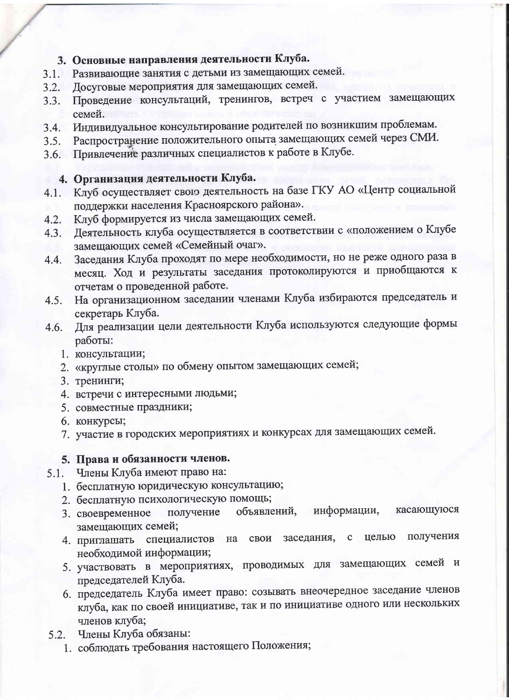## 3. Основные направления деятельности Клуба.

- 3.1. Развивающие занятия с детьми из замещающих семей.
- Досуговые мероприятия для замещающих семей.  $3.2.$
- Проведение консультаций, тренингов, встреч с участием замещающих  $3.3.$ семей.
- Индивидуальное консультирование родителей по возникшим проблемам.  $3.4.$
- Распространение положительного опыта замещающих семей через СМИ.  $3.5.$
- 3.6. Привлечение различных специалистов к работе в Клубе.

## 4. Организация деятельности Клуба.

- Клуб осуществляет свою деятельность на базе ГКУ АО «Центр социальной  $4.1.$ поддержки населения Красноярского района».
- Клуб формируется из числа замещающих семей.  $4.2.$
- Деятельность клуба осуществляется в соответствии с «положением о Клубе  $4.3.$ замещающих семей «Семейный очаг».
- Заседания Клуба проходят по мере необходимости, но не реже одного раза в  $4.4.$ месяц. Ход и результаты заседания протоколируются и приобщаются к отчетам о проведенной работе.
- На организационном заседании членами Клуба избираются председатель и  $4.5.$ секретарь Клуба.
- Для реализации цели деятельности Клуба используются следующие формы 4.6. работы:
	- 1. консультации;
	- 2. «круглые столы» по обмену опытом замещающих семей;
	- 3. тренинги;
	- 4. встречи с интересными людьми;
	- 5. совместные праздники;
	- 6. КОНКУРСЫ;
	- 7. участие в городских мероприятиях и конкурсах для замещающих семей.

## 5. Права и обязанности членов.

- 5.1. Члены Клуба имеют право на:
	- 1. бесплатную юридическую консультацию;
	- 2. бесплатную психологическую помощь;
	- информации, касающуюся объявлений, получение 3. своевременное замещающих семей;
	- получения на свои заседания, целью  $\mathbf C$ 4. приглашать специалистов необходимой информации;
	- 5. участвовать в мероприятиях, проводимых для замещающих семей и председателей Клуба.
	- 6. председатель Клуба имеет право: созывать внеочередное заседание членов клуба, как по своей инициативе, так и по инициативе одного или нескольких членов клуба;
- 5.2. Члены Клуба обязаны:
	- 1. соблюдать требования настоящего Положения;